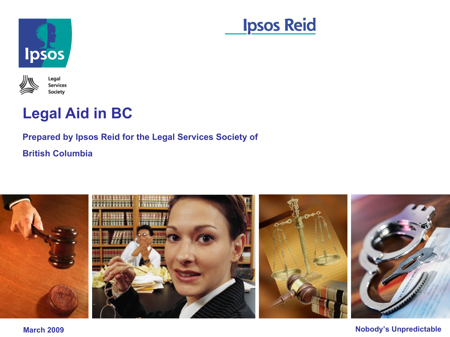





# **Legal Aid in BC**

### **Prepared by Ipsos Reid for the Legal Services Society of British Columbia**



**March 2009 Nobody's Unpredictable**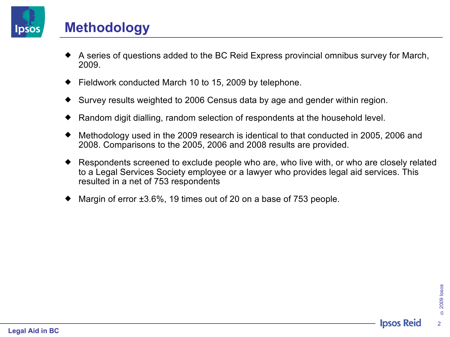

## **Methodology**

- A series of questions added to the BC Reid Express provincial omnibus survey for March, 2009.
- Fieldwork conducted March 10 to 15, 2009 by telephone.
- Survey results weighted to 2006 Census data by age and gender within region.
- Random digit dialling, random selection of respondents at the household level.
- Methodology used in the 2009 research is identical to that conducted in 2005, 2006 and 2008. Comparisons to the 2005, 2006 and 2008 results are provided.
- Respondents screened to exclude people who are, who live with, or who are closely related to a Legal Services Society employee or a lawyer who provides legal aid services. This resulted in a net of 753 respondents
- Margin of error ±3.6%, 19 times out of 20 on a base of 753 people.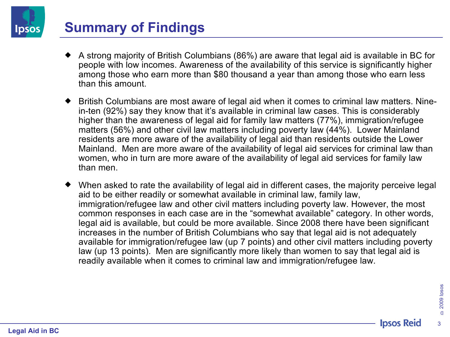# **Summary of Findings**

- A strong majority of British Columbians (86%) are aware that legal aid is available in BC for people with low incomes. Awareness of the availability of this service is significantly higher among those who earn more than \$80 thousand a year than among those who earn less than this amount.
- British Columbians are most aware of legal aid when it comes to criminal law matters. Ninein-ten (92%) say they know that it's available in criminal law cases. This is considerably higher than the awareness of legal aid for family law matters (77%), immigration/refugee matters (56%) and other civil law matters including poverty law (44%). Lower Mainland residents are more aware of the availability of legal aid than residents outside the Lower Mainland. Men are more aware of the availability of legal aid services for criminal law than women, who in turn are more aware of the availability of legal aid services for family law than men.
- When asked to rate the availability of legal aid in different cases, the majority perceive legal aid to be either readily or somewhat available in criminal law, family law, immigration/refugee law and other civil matters including poverty law. However, the most common responses in each case are in the "somewhat available" category. In other words, legal aid is available, but could be more available. Since 2008 there have been significant increases in the number of British Columbians who say that legal aid is not adequately available for immigration/refugee law (up 7 points) and other civil matters including poverty law (up 13 points). Men are significantly more likely than women to say that legal aid is readily available when it comes to criminal law and immigration/refugee law.

3

Ipsos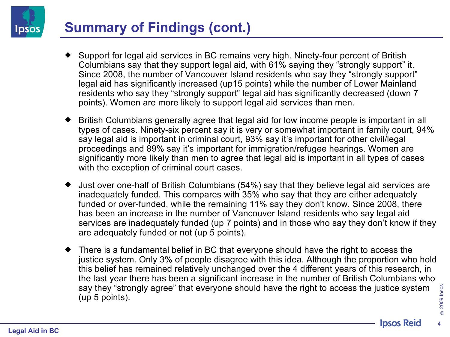# **Summary of Findings (cont.)**

- Support for legal aid services in BC remains very high. Ninety-four percent of British Columbians say that they support legal aid, with 61% saying they "strongly support" it. Since 2008, the number of Vancouver Island residents who say they "strongly support" legal aid has significantly increased (up15 points) while the number of Lower Mainland residents who say they "strongly support" legal aid has significantly decreased (down 7 points). Women are more likely to support legal aid services than men.
- British Columbians generally agree that legal aid for low income people is important in all types of cases. Ninety-six percent say it is very or somewhat important in family court, 94% say legal aid is important in criminal court, 93% say it's important for other civil/legal proceedings and 89% say it's important for immigration/refugee hearings. Women are significantly more likely than men to agree that legal aid is important in all types of cases with the exception of criminal court cases.
- Just over one-half of British Columbians (54%) say that they believe legal aid services are inadequately funded. This compares with 35% who say that they are either adequately funded or over-funded, while the remaining 11% say they don't know. Since 2008, there has been an increase in the number of Vancouver Island residents who say legal aid services are inadequately funded (up 7 points) and in those who say they don't know if they are adequately funded or not (up 5 points).
- There is a fundamental belief in BC that everyone should have the right to access the justice system. Only 3% of people disagree with this idea. Although the proportion who hold this belief has remained relatively unchanged over the 4 different years of this research, in the last year there has been a significant increase in the number of British Columbians who say they "strongly agree" that everyone should have the right to access the justice system (up 5 points).

**Ipsos**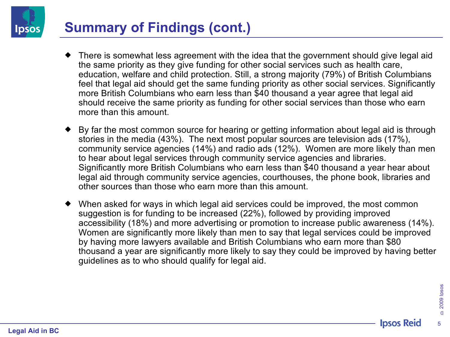

# **Summary of Findings (cont.)**

- There is somewhat less agreement with the idea that the government should give legal aid the same priority as they give funding for other social services such as health care, education, welfare and child protection. Still, a strong majority (79%) of British Columbians feel that legal aid should get the same funding priority as other social services. Significantly more British Columbians who earn less than \$40 thousand a year agree that legal aid should receive the same priority as funding for other social services than those who earn more than this amount.
- By far the most common source for hearing or getting information about legal aid is through stories in the media (43%). The next most popular sources are television ads (17%), community service agencies (14%) and radio ads (12%). Women are more likely than men to hear about legal services through community service agencies and libraries. Significantly more British Columbians who earn less than \$40 thousand a year hear about legal aid through community service agencies, courthouses, the phone book, libraries and other sources than those who earn more than this amount.
- When asked for ways in which legal aid services could be improved, the most common suggestion is for funding to be increased (22%), followed by providing improved accessibility (18%) and more advertising or promotion to increase public awareness (14%). Women are significantly more likely than men to say that legal services could be improved by having more lawyers available and British Columbians who earn more than \$80 thousand a year are significantly more likely to say they could be improved by having better guidelines as to who should qualify for legal aid.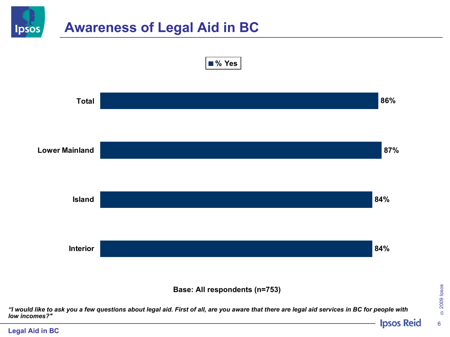

**Legal Aid in BC**

©2009 Ipsos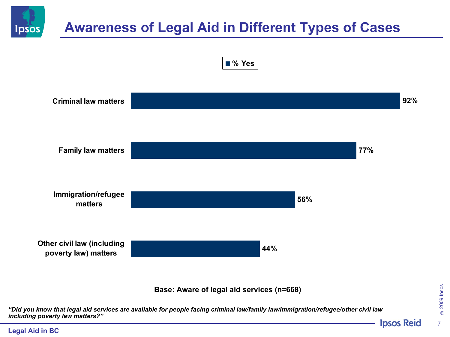

# **Awareness of Legal Aid in Different Types of Cases**





*"Did you know that legal aid services are available for people facing criminal law/family law/immigration/refugee/other civil law including poverty law matters?"***Ipsos Reid** 

©2009 Ipsos 7

### **Legal Aid in BC**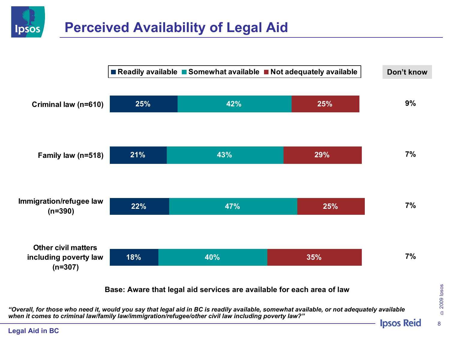# **Perceived Availability of Legal Aid**



*"Overall, for those who need it, would you say that legal aid in BC is readily available, somewhat available, or not adequately available when it comes to criminal law/family law/immigration/refugee/other civil law including poverty law?"*

**Legal Aid in BC**

**Ipsos**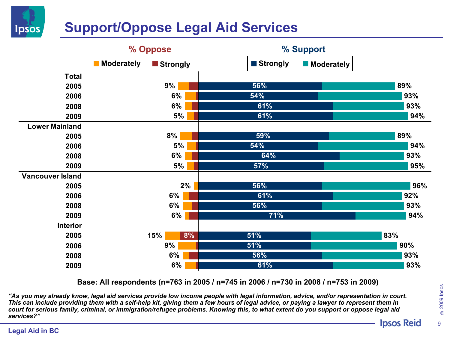

# **Support/Oppose Legal Aid Services**



**Base: All respondents (n=763 in 2005 / n=745 in 2006 / n=730 in 2008 / n=753 in 2009)**

*"As you may already know, legal aid services provide low income people with legal information, advice, and/or representation in court. This can include providing them with a self-help kit, giving them a few hours of legal advice, or paying a lawyer to represent them in court for serious family, criminal, or immigration/refugee problems. Knowing this, to what extent do you support or oppose legal aid services?"* 

# ©2009 Ipsos

9

#### **Legal Aid in BC**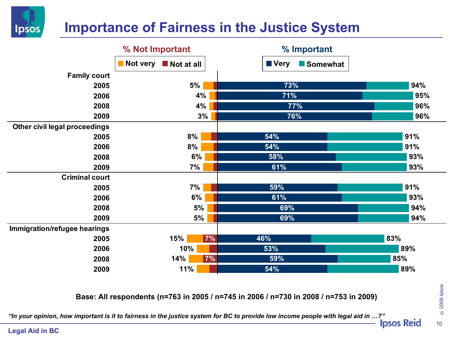

# **Importance of Fairness in the Justice System**

|                               | % Not Important        | % Important               |     |
|-------------------------------|------------------------|---------------------------|-----|
|                               | Not very<br>Not at all | <b>■ Very</b><br>Somewhat |     |
| <b>Family court</b>           |                        |                           |     |
| 2005                          | 5%                     | 73%                       | 94% |
| 2006                          | 4%                     | 71%                       | 95% |
| 2008                          | 4%                     | 77%                       | 96% |
| 2009                          | 3%                     | 76%                       | 96% |
| Other civil legal proceedings |                        |                           |     |
| 2005                          | 8%                     | 54%                       | 91% |
| 2006                          | 8%                     | 54%                       | 91% |
| 2008                          | 6%                     | 58%                       | 93% |
| 2009                          | 7%                     | 61%                       | 93% |
| <b>Criminal court</b>         |                        |                           |     |
| 2005                          | 7%                     | 59%                       | 91% |
| 2006                          | 6%                     | 61%                       | 93% |
| 2008                          | 5%                     | 69%                       | 94% |
| 2009                          | 5%                     | 69%                       | 94% |
| Immigration/refugee hearings  |                        |                           |     |
| 2005                          | 15%<br>7%              | 46%                       | 83% |
| 2006                          | 10%                    | 53%                       | 89% |
| 2008                          | 7%<br>14%              | 59%                       | 85% |
| 2009                          | 11%                    | 54%                       | 89% |

**Base: All respondents (n=763 in 2005 / n=745 in 2006 / n=730 in 2008 / n=753 in 2009)**

*"In your opinion, how important is it to fairness in the justice system for BC to provide low income people with legal aid in …?"* 

**Legal Aid in BC**

©2009 Ipsos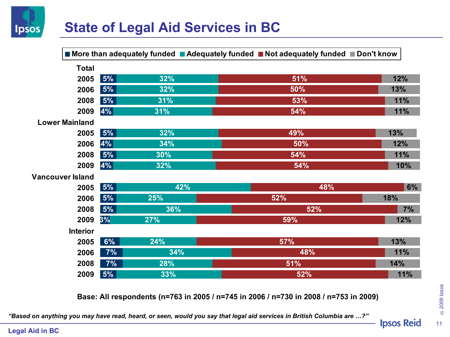

# **State of Legal Aid Services in BC**

|                         |                 |     | ■ More than adequately funded ■ Adequately funded ■ Not adequately funded ■ Don't know |     |
|-------------------------|-----------------|-----|----------------------------------------------------------------------------------------|-----|
|                         | <b>Total</b>    |     |                                                                                        |     |
|                         | 5%<br>2005      | 32% | 51%                                                                                    | 12% |
|                         | 5%<br>2006      | 32% | 50%                                                                                    | 13% |
|                         | 5%<br>2008      | 31% | 53%                                                                                    | 11% |
|                         | 4%<br>2009      | 31% | 54%                                                                                    | 11% |
| <b>Lower Mainland</b>   |                 |     |                                                                                        |     |
|                         | 5%<br>2005      | 32% | 49%                                                                                    | 13% |
|                         | 4%<br>2006      | 34% | 50%                                                                                    | 12% |
|                         | 5%<br>2008      | 30% | 54%                                                                                    | 11% |
|                         | 4%<br>2009      | 32% | 54%                                                                                    | 10% |
| <b>Vancouver Island</b> |                 |     |                                                                                        |     |
|                         | 5%<br>2005      | 42% | 48%                                                                                    | 6%  |
|                         | 5%<br>2006      | 25% | 52%                                                                                    | 18% |
|                         | 5%<br>2008      | 36% | 52%                                                                                    | 7%  |
|                         | 2009<br>3%      | 27% | 59%                                                                                    | 12% |
|                         | <b>Interior</b> |     |                                                                                        |     |
|                         | 6%<br>2005      | 24% | 57%                                                                                    | 13% |
|                         | 7%<br>2006      | 34% | 48%                                                                                    | 11% |
|                         | 7%<br>2008      | 28% | 51%                                                                                    | 14% |
|                         | 5%<br>2009      | 33% | 52%                                                                                    | 11% |

**Base: All respondents (n=763 in 2005 / n=745 in 2006 / n=730 in 2008 / n=753 in 2009)**

*"Based on anything you may have read, heard, or seen, would you say that legal aid services in British Columbia are …?"*

**Legal Aid in BC**

©2009 Ipsos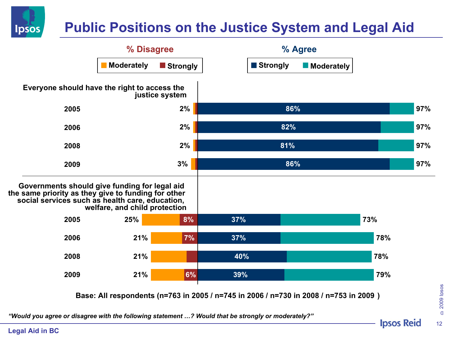

# **Public Positions on the Justice System and Legal Aid**



*"Would you agree or disagree with the following statement …? Would that be strongly or moderately?"*

**Legal Aid in BC**

**Ipsos Reid**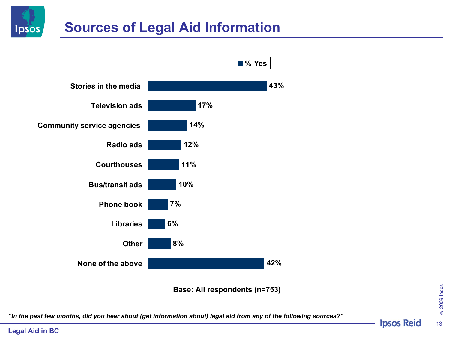



**Base: All respondents (n=753)**

*"In the past few months, did you hear about (get information about) legal aid from any of the following sources?"*

**Legal Aid in BC**